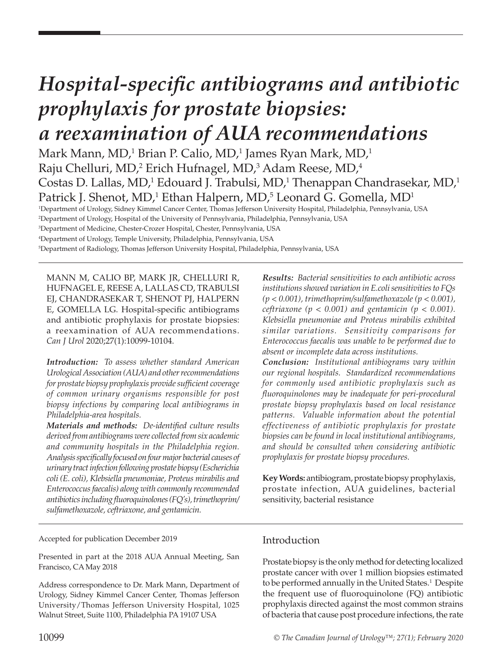# *Hospital-specific antibiograms and antibiotic prophylaxis for prostate biopsies: a reexamination of AUA recommendations*

Mark Mann, MD, $^1$  Brian P. Calio, MD, $^1$  James Ryan Mark, MD, $^1$ Raju Chelluri, MD,<sup>2</sup> Erich Hufnagel, MD,<sup>3</sup> Adam Reese, MD,<sup>4</sup> Costas D. Lallas, MD,<sup>1</sup> Edouard J. Trabulsi, MD,<sup>1</sup> Thenappan Chandrasekar, MD,<sup>1</sup> Patrick J. Shenot, MD,<sup>1</sup> Ethan Halpern, MD,<sup>5</sup> Leonard G. Gomella, MD<sup>1</sup><br>"Department of Urology Sidney Kimmel Cancer Center Thomas Jefferson University Hospital, Philadelphia, Pennsylvania J

Department of Urology, Sidney Kimmel Cancer Center, Thomas Jefferson University Hospital, Philadelphia, Pennsylvania, USA Department of Urology, Hospital of the University of Pennsylvania, Philadelphia, Pennsylvania, USA Department of Medicine, Chester-Crozer Hospital, Chester, Pennsylvania, USA Department of Urology, Temple University, Philadelphia, Pennsylvania, USA

5 Department of Radiology, Thomas Jefferson University Hospital, Philadelphia, Pennsylvania, USA

MANN M, CALIO BP, MARK JR, CHELLURI R, HUFNAGEL E, REESE A, LALLAS CD, TRABULSI EJ, CHANDRASEKAR T, SHENOT PJ, HALPERN E, GOMELLA LG. Hospital-specific antibiograms and antibiotic prophylaxis for prostate biopsies: a reexamination of AUA recommendations. *Can J Urol* 2020;27(1):10099-10104.

*Introduction: To assess whether standard American Urological Association (AUA) and other recommendations for prostate biopsy prophylaxis provide sufficient coverage of common urinary organisms responsible for post biopsy infections by comparing local antibiograms in Philadelphia-area hospitals.*

*Materials and methods: De-identified culture results derived from antibiograms were collected from six academic and community hospitals in the Philadelphia region. Analysis specifically focused on four major bacterial causes of urinary tract infection following prostate biopsy (Escherichia coli (E. coli), Klebsiella pneumoniae, Proteus mirabilis and Enterococcus faecalis) along with commonly recommended antibiotics including fluoroquinolones (FQ's), trimethoprim/ sulfamethoxazole, ceftriaxone, and gentamicin.* 

Accepted for publication December 2019

Presented in part at the 2018 AUA Annual Meeting, San Francisco, CA May 2018

Address correspondence to Dr. Mark Mann, Department of Urology, Sidney Kimmel Cancer Center, Thomas Jefferson University/Thomas Jefferson University Hospital, 1025 Walnut Street, Suite 1100, Philadelphia PA 19107 USA

*Results: Bacterial sensitivities to each antibiotic across institutions showed variation in E.coli sensitivities to FQs (p < 0.001), trimethoprim/sulfamethoxazole (p < 0.001), ceftriaxone* ( $p < 0.001$ ) and gentamicin ( $p < 0.001$ ). *Klebsiella pneumoniae and Proteus mirabilis exhibited similar variations. Sensitivity comparisons for Enterococcus faecalis was unable to be performed due to absent or incomplete data across institutions.* 

*Conclusion: Institutional antibiograms vary within our regional hospitals. Standardized recommendations for commonly used antibiotic prophylaxis such as fluoroquinolones may be inadequate for peri-procedural prostate biopsy prophylaxis based on local resistance patterns. Valuable information about the potential effectiveness of antibiotic prophylaxis for prostate biopsies can be found in local institutional antibiograms, and should be consulted when considering antibiotic prophylaxis for prostate biopsy procedures.* 

**Key Words:** antibiogram, prostate biopsy prophylaxis, prostate infection, AUA guidelines, bacterial sensitivity, bacterial resistance

### Introduction

Prostate biopsy is the only method for detecting localized prostate cancer with over 1 million biopsies estimated to be performed annually in the United States.<sup>1</sup> Despite the frequent use of fluoroquinolone (FQ) antibiotic prophylaxis directed against the most common strains of bacteria that cause post procedure infections, the rate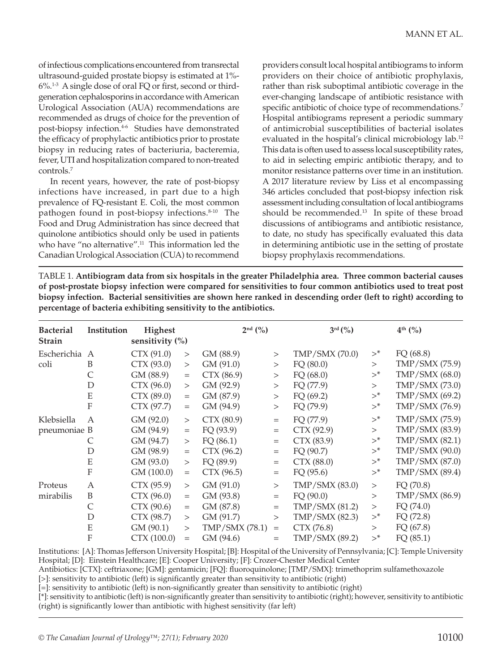of infectious complications encountered from transrectal ultrasound-guided prostate biopsy is estimated at 1%- 6%.1-3 A single dose of oral FQ or first, second or thirdgeneration cephalosporins in accordance with American Urological Association (AUA) recommendations are recommended as drugs of choice for the prevention of post-biopsy infection.<sup>46</sup> Studies have demonstrated the efficacy of prophylactic antibiotics prior to prostate biopsy in reducing rates of bacteriuria, bacteremia, fever, UTI and hospitalization compared to non-treated controls.7

In recent years, however, the rate of post-biopsy infections have increased, in part due to a high prevalence of FQ-resistant E. Coli, the most common pathogen found in post-biopsy infections.<sup>8-10</sup> The Food and Drug Administration has since decreed that quinolone antibiotics should only be used in patients who have "no alternative".<sup>11</sup> This information led the Canadian Urological Association (CUA) to recommend providers consult local hospital antibiograms to inform providers on their choice of antibiotic prophylaxis, rather than risk suboptimal antibiotic coverage in the ever-changing landscape of antibiotic resistance with specific antibiotic of choice type of recommendations.<sup>7</sup> Hospital antibiograms represent a periodic summary of antimicrobial susceptibilities of bacterial isolates evaluated in the hospital's clinical microbiology lab.<sup>12</sup> This data is often used to assess local susceptibility rates, to aid in selecting empiric antibiotic therapy, and to monitor resistance patterns over time in an institution. A 2017 literature review by Liss et al encompassing 346 articles concluded that post-biopsy infection risk assessment including consultation of local antibiograms should be recommended.<sup>13</sup> In spite of these broad discussions of antibiograms and antibiotic resistance, to date, no study has specifically evaluated this data in determining antibiotic use in the setting of prostate biopsy prophylaxis recommendations.

TABLE 1. **Antibiogram data from six hospitals in the greater Philadelphia area. Three common bacterial causes of post-prostate biopsy infection were compared for sensitivities to four common antibiotics used to treat post biopsy infection. Bacterial sensitivities are shown here ranked in descending order (left to right) according to percentage of bacteria exhibiting sensitivity to the antibiotics.** 

| <b>Bacterial</b><br><b>Strain</b> | Institution      | Highest<br>sensitivity $\left(\frac{0}{0}\right)$ |                   | $2^{nd}$ (%)   |                   | $3^{rd}$ (%)   |                 | $4^{th}$ (%)   |
|-----------------------------------|------------------|---------------------------------------------------|-------------------|----------------|-------------------|----------------|-----------------|----------------|
| Escherichia A<br>coli             |                  | CTX (91.0)                                        | >                 | GM (88.9)      | $\geq$            | TMP/SMX (70.0) | $\mathord{>}^*$ | FQ(68.8)       |
|                                   | B                | CTX (93.0)                                        | $\geq$            | GM (91.0)      | >                 | FQ(80.0)       | $\geq$          | TMP/SMX (75.9) |
|                                   | C                | GM (88.9)                                         | $\!\!\!=\!\!\!\!$ | CTX (86.9)     | $\geq$            | FQ(68.0)       | $>^*$           | TMP/SMX(68.0)  |
|                                   | D                | CTX (96.0)                                        | >                 | GM (92.9)      | >                 | FQ (77.9)      | $\geq$          | TMP/SMX (73.0) |
|                                   | E                | CTX (89.0)                                        | $=$               | GM (87.9)      | >                 | FQ(69.2)       | $>^*$           | TMP/SMX (69.2) |
|                                   | F                | CTX (97.7)                                        | $\!\!\!=\!\!\!\!$ | GM (94.9)      | >                 | FQ (79.9)      | $>^*$           | TMP/SMX (76.9) |
| Klebsiella                        | $\mathsf{A}$     | GM (92.0)                                         | >                 | CTX (80.9)     | $=$               | FQ (77.9)      | $>^*$           | TMP/SMX (75.9) |
| pneumoniae B                      |                  | GM (94.9)                                         | $\quad =$         | FQ (93.9)      | $=$               | CTX (92.9)     | $\geq$          | TMP/SMX (83.9) |
|                                   | C                | GM (94.7)                                         | $\geq$            | FQ(86.1)       | $=$               | CTX (83.9)     | $>^*$           | TMP/SMX (82.1) |
|                                   | D                | GM (98.9)                                         | $\!\!\!=\!\!\!\!$ | CTX (96.2)     | $=$               | FQ(90.7)       | $>^*$           | TMP/SMX (90.0) |
|                                   | E                | GM (93.0)                                         | >                 | FQ (89.9)      | $=$               | CTX (88.0)     | $>^*$           | TMP/SMX (87.0) |
|                                   | F                | GM (100.0)                                        | $=$               | CTX (96.5)     | $=$               | FQ (95.6)      | $>^*$           | TMP/SMX (89.4) |
| Proteus                           | $\overline{A}$   | CTX (95.9)                                        | $\geq$            | GM (91.0)      | $\geq$            | TMP/SMX(83.0)  | $\geq$          | FQ(70.8)       |
| mirabilis                         | $\boldsymbol{B}$ | CTX (96.0)                                        | $\quad = \quad$   | GM (93.8)      | $=$               | FQ(90.0)       | $\geq$          | TMP/SMX(86.9)  |
|                                   | C                | CTX (90.6)                                        | $=$               | GM (87.8)      | $=$               | TMP/SMX(81.2)  | $\geq$          | FQ (74.0)      |
|                                   | D                | CTX (98.7)                                        | $\geq$            | GM (91.7)      | >                 | TMP/SMX (82.3) | $>^*$           | FQ (72.8)      |
|                                   | E                | GM (90.1)                                         | $\,>$             | TMP/SMX (78.1) | $\!\!\!=\!\!\!\!$ | CTX (76.8)     | $\geq$          | FQ(67.8)       |
|                                   | F                | CTX (100.0)                                       | $=$               | GM (94.6)      | $=$               | TMP/SMX (89.2) | $>^*$           | FQ(85.1)       |
|                                   |                  |                                                   |                   |                |                   |                |                 |                |

Institutions: [A]: Thomas Jefferson University Hospital; [B]: Hospital of the University of Pennsylvania; [C]: Temple University Hospital; [D]: Einstein Healthcare; [E]: Cooper University; [F]: Crozer-Chester Medical Center

Antibiotics: [CTX]: ceftriaxone; [GM]: gentamicin; [FQ]: fluoroquinolone; [TMP/SMX]: trimethoprim sulfamethoxazole

[>]: sensitivity to antibiotic (left) is significantly greater than sensitivity to antibiotic (right)

[=]: sensitivity to antibiotic (left) is non-significantly greater than sensitivity to antibiotic (right)

[\*]: sensitivity to antibiotic (left) is non-significantly greater than sensitivity to antibiotic (right); however, sensitivity to antibiotic (right) is significantly lower than antibiotic with highest sensitivity (far left)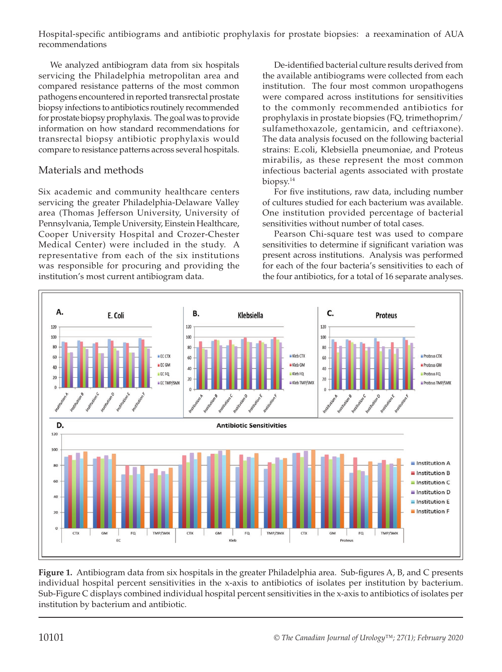Hospital-specific antibiograms and antibiotic prophylaxis for prostate biopsies: a reexamination of AUA recommendations

We analyzed antibiogram data from six hospitals servicing the Philadelphia metropolitan area and compared resistance patterns of the most common pathogens encountered in reported transrectal prostate biopsy infections to antibiotics routinely recommended for prostate biopsy prophylaxis. The goal was to provide information on how standard recommendations for transrectal biopsy antibiotic prophylaxis would compare to resistance patterns across several hospitals.

## Materials and methods

Six academic and community healthcare centers servicing the greater Philadelphia-Delaware Valley area (Thomas Jefferson University, University of Pennsylvania, Temple University, Einstein Healthcare, Cooper University Hospital and Crozer-Chester Medical Center) were included in the study. A representative from each of the six institutions was responsible for procuring and providing the institution's most current antibiogram data.

De-identified bacterial culture results derived from the available antibiograms were collected from each institution. The four most common uropathogens were compared across institutions for sensitivities to the commonly recommended antibiotics for prophylaxis in prostate biopsies (FQ, trimethoprim/ sulfamethoxazole, gentamicin, and ceftriaxone). The data analysis focused on the following bacterial strains: E.coli, Klebsiella pneumoniae, and Proteus mirabilis, as these represent the most common infectious bacterial agents associated with prostate biopsy. $14$ 

For five institutions, raw data, including number of cultures studied for each bacterium was available. One institution provided percentage of bacterial sensitivities without number of total cases.

Pearson Chi-square test was used to compare sensitivities to determine if significant variation was present across institutions. Analysis was performed for each of the four bacteria's sensitivities to each of the four antibiotics, for a total of 16 separate analyses.



**Figure 1.** Antibiogram data from six hospitals in the greater Philadelphia area. Sub-figures A, B, and C presents individual hospital percent sensitivities in the x-axis to antibiotics of isolates per institution by bacterium. Sub-Figure C displays combined individual hospital percent sensitivities in the x-axis to antibiotics of isolates per institution by bacterium and antibiotic.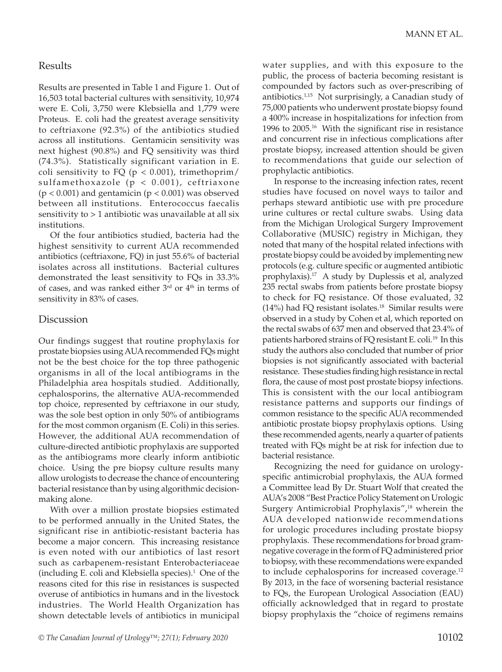#### Results

Results are presented in Table 1 and Figure 1. Out of 16,503 total bacterial cultures with sensitivity, 10,974 were E. Coli, 3,750 were Klebsiella and 1,779 were Proteus. E. coli had the greatest average sensitivity to ceftriaxone (92.3%) of the antibiotics studied across all institutions. Gentamicin sensitivity was next highest (90.8%) and FQ sensitivity was third (74.3%). Statistically significant variation in E. coli sensitivity to FQ ( $p < 0.001$ ), trimethoprim/ sulfamethoxazole (p < 0.001), ceftriaxone  $(p < 0.001)$  and gentamicin  $(p < 0.001)$  was observed between all institutions. Enterococcus faecalis sensitivity to > 1 antibiotic was unavailable at all six institutions.

Of the four antibiotics studied, bacteria had the highest sensitivity to current AUA recommended antibiotics (ceftriaxone, FQ) in just 55.6% of bacterial isolates across all institutions. Bacterial cultures demonstrated the least sensitivity to FQs in 33.3% of cases, and was ranked either  $3<sup>rd</sup>$  or  $4<sup>th</sup>$  in terms of sensitivity in 83% of cases.

#### Discussion

Our findings suggest that routine prophylaxis for prostate biopsies using AUA recommended FQs might not be the best choice for the top three pathogenic organisms in all of the local antibiograms in the Philadelphia area hospitals studied. Additionally, cephalosporins, the alternative AUA-recommended top choice, represented by ceftriaxone in our study, was the sole best option in only 50% of antibiograms for the most common organism (E. Coli) in this series. However, the additional AUA recommendation of culture-directed antibiotic prophylaxis are supported as the antibiograms more clearly inform antibiotic choice. Using the pre biopsy culture results many allow urologists to decrease the chance of encountering bacterial resistance than by using algorithmic decisionmaking alone.

With over a million prostate biopsies estimated to be performed annually in the United States, the significant rise in antibiotic-resistant bacteria has become a major concern. This increasing resistance is even noted with our antibiotics of last resort such as carbapenem-resistant Enterobacteriaceae  $(including E. coli and Klebsiella species).$ <sup>1</sup> One of the reasons cited for this rise in resistances is suspected overuse of antibiotics in humans and in the livestock industries. The World Health Organization has shown detectable levels of antibiotics in municipal

water supplies, and with this exposure to the public, the process of bacteria becoming resistant is compounded by factors such as over-prescribing of antibiotics. $1,15$  Not surprisingly, a Canadian study of 75,000 patients who underwent prostate biopsy found a 400% increase in hospitalizations for infection from 1996 to 2005.16 With the significant rise in resistance and concurrent rise in infectious complications after prostate biopsy, increased attention should be given to recommendations that guide our selection of prophylactic antibiotics.

In response to the increasing infection rates, recent studies have focused on novel ways to tailor and perhaps steward antibiotic use with pre procedure urine cultures or rectal culture swabs. Using data from the Michigan Urological Surgery Improvement Collaborative (MUSIC) registry in Michigan, they noted that many of the hospital related infections with prostate biopsy could be avoided by implementing new protocols (e.g. culture specific or augmented antibiotic prophylaxis).17 A study by Duplessis et al, analyzed 235 rectal swabs from patients before prostate biopsy to check for FQ resistance. Of those evaluated, 32 (14%) had FQ resistant isolates.<sup>18</sup> Similar results were observed in a study by Cohen et al, which reported on the rectal swabs of 637 men and observed that 23.4% of patients harbored strains of FQ resistant E. coli.<sup>19</sup> In this study the authors also concluded that number of prior biopsies is not significantly associated with bacterial resistance. These studies finding high resistance in rectal flora, the cause of most post prostate biopsy infections. This is consistent with the our local antibiogram resistance patterns and supports our findings of common resistance to the specific AUA recommended antibiotic prostate biopsy prophylaxis options. Using these recommended agents, nearly a quarter of patients treated with FQs might be at risk for infection due to bacterial resistance.

Recognizing the need for guidance on urologyspecific antimicrobial prophylaxis, the AUA formed a Committee lead By Dr. Stuart Wolf that created the AUA's 2008 "Best Practice Policy Statement on Urologic Surgery Antimicrobial Prophylaxis",<sup>18</sup> wherein the AUA developed nationwide recommendations for urologic procedures including prostate biopsy prophylaxis. These recommendations for broad gramnegative coverage in the form of FQ administered prior to biopsy, with these recommendations were expanded to include cephalosporins for increased coverage.<sup>12</sup> By 2013, in the face of worsening bacterial resistance to FQs, the European Urological Association (EAU) officially acknowledged that in regard to prostate biopsy prophylaxis the "choice of regimens remains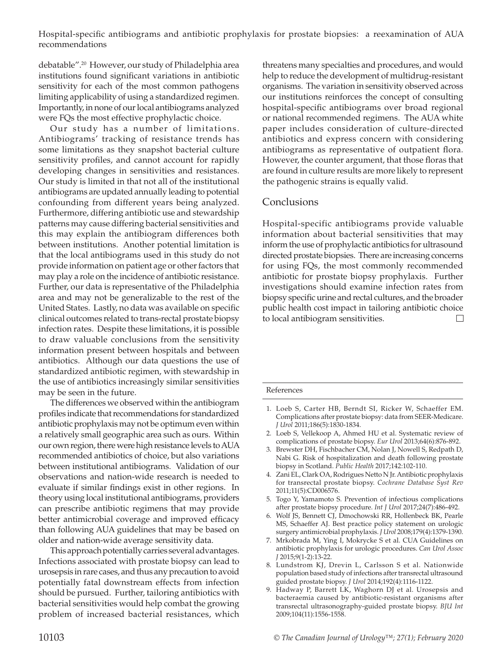Hospital-specific antibiograms and antibiotic prophylaxis for prostate biopsies: a reexamination of AUA recommendations

debatable".20 However, our study of Philadelphia area institutions found significant variations in antibiotic sensitivity for each of the most common pathogens limiting applicability of using a standardized regimen. Importantly, in none of our local antibiograms analyzed were FQs the most effective prophylactic choice.

Our study has a number of limitations. Antibiograms' tracking of resistance trends has some limitations as they snapshot bacterial culture sensitivity profiles, and cannot account for rapidly developing changes in sensitivities and resistances. Our study is limited in that not all of the institutional antibiograms are updated annually leading to potential confounding from different years being analyzed. Furthermore, differing antibiotic use and stewardship patterns may cause differing bacterial sensitivities and this may explain the antibiogram differences both between institutions. Another potential limitation is that the local antibiograms used in this study do not provide information on patient age or other factors that may play a role on the incidence of antibiotic resistance. Further, our data is representative of the Philadelphia area and may not be generalizable to the rest of the United States. Lastly, no data was available on specific clinical outcomes related to trans-rectal prostate biopsy infection rates. Despite these limitations, it is possible to draw valuable conclusions from the sensitivity information present between hospitals and between antibiotics. Although our data questions the use of standardized antibiotic regimen, with stewardship in the use of antibiotics increasingly similar sensitivities may be seen in the future.

The differences we observed within the antibiogram profiles indicate that recommendations for standardized antibiotic prophylaxis may not be optimum even within a relatively small geographic area such as ours. Within our own region, there were high resistance levels to AUA recommended antibiotics of choice, but also variations between institutional antibiograms. Validation of our observations and nation-wide research is needed to evaluate if similar findings exist in other regions. In theory using local institutional antibiograms, providers can prescribe antibiotic regimens that may provide better antimicrobial coverage and improved efficacy than following AUA guidelines that may be based on older and nation-wide average sensitivity data.

This approach potentially carries several advantages. Infections associated with prostate biopsy can lead to urosepsis in rare cases, and thus any precaution to avoid potentially fatal downstream effects from infection should be pursued. Further, tailoring antibiotics with bacterial sensitivities would help combat the growing problem of increased bacterial resistances, which

threatens many specialties and procedures, and would help to reduce the development of multidrug-resistant organisms. The variation in sensitivity observed across our institutions reinforces the concept of consulting hospital-specific antibiograms over broad regional or national recommended regimens. The AUA white paper includes consideration of culture-directed antibiotics and express concern with considering antibiograms as representative of outpatient flora. However, the counter argument, that those floras that are found in culture results are more likely to represent the pathogenic strains is equally valid.

### Conclusions

Hospital-specific antibiograms provide valuable information about bacterial sensitivities that may inform the use of prophylactic antibiotics for ultrasound directed prostate biopsies. There are increasing concerns for using FQs, the most commonly recommended antibiotic for prostate biopsy prophylaxis. Further investigations should examine infection rates from biopsy specific urine and rectal cultures, and the broader public health cost impact in tailoring antibiotic choice to local antibiogram sensitivities.  $\Box$ 

#### References

- 1. Loeb S, Carter HB, Berndt SI, Ricker W, Schaeffer EM. Complications after prostate biopsy: data from SEER-Medicare. *J Urol* 2011;186(5):1830-1834.
- 2. Loeb S, Vellekoop A, Ahmed HU et al. Systematic review of complications of prostate biopsy. *Eur Urol* 2013;64(6):876-892.
- 3. Brewster DH, Fischbacher CM, Nolan J, Nowell S, Redpath D, Nabi G. Risk of hospitalization and death following prostate biopsy in Scotland. *Public Health* 2017;142:102-110.
- 4. Zani EL, Clark OA, Rodrigues Netto N Jr. Antibiotic prophylaxis for transrectal prostate biopsy. *Cochrane Database Syst Rev* 2011;11(5):CD006576.
- 5. Togo Y, Yamamoto S. Prevention of infectious complications after prostate biopsy procedure. *Int J Urol* 2017;24(7):486-492.
- 6. Wolf JS, Bennett CJ, Dmochowski RR, Hollenbeck BK, Pearle MS, Schaeffer AJ. Best practice policy statement on urologic surgery antimicrobial prophylaxis. *J Urol* 2008;179(4):1379-1390.
- 7. Mrkobrada M, Ying I, Mokrycke S et al. CUA Guidelines on antibiotic prophylaxis for urologic procedures. *Can Urol Assoc J* 2015;9(1-2):13-22.
- 8. Lundstrom KJ, Drevin L, Carlsson S et al. Nationwide population based study of infections after transrectal ultrasound guided prostate biopsy. *J Urol* 2014;192(4):1116-1122.
- 9. Hadway P, Barrett LK, Waghorn DJ et al. Urosepsis and bacteraemia caused by antibiotic-resistant organisms after transrectal ultrasonography-guided prostate biopsy. *BJU Int* 2009;104(11):1556-1558.